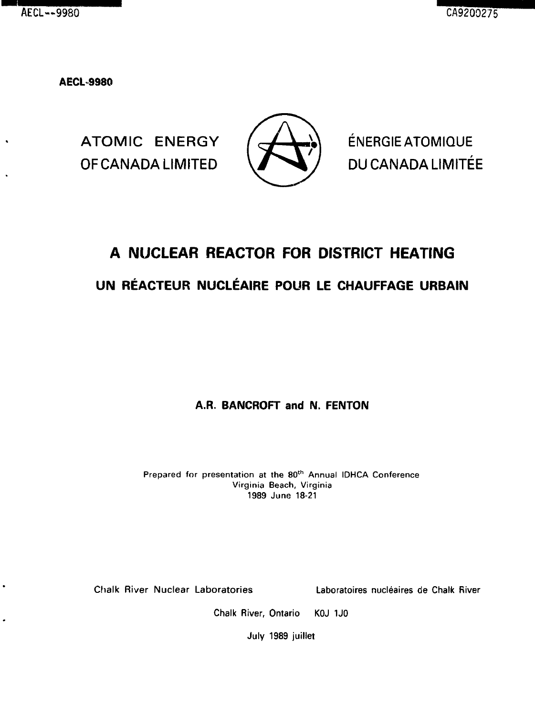$\cdot$ 

**AECL9980**

OF CANADA LIMITED  $\sqrt{ }$  DU CANADA LIMITÉE



ATOMIC ENERGY  $/$   $\rightarrow$   $\rightarrow$   $\rightarrow$   $\rightarrow$  ENERGIEATOMIQUE

# **A NUCLEAR REACTOR FOR DISTRICT HEATING UN RÉACTEUR NUCLÉAIRE POUR LE CHAUFFAGE URBAIN**

# **A.R. BANCROFT and N. FENTON**

Prepared for presentation at the 80<sup>th</sup> Annual IDHCA Conference Virginia Beach, Virginia 1989 June 18-21

Chalk River Nuclear Laboratories Laboratoires nucleates de Chalk River

Chalk River, Ontario KOJ 1J0

July 1989 juillet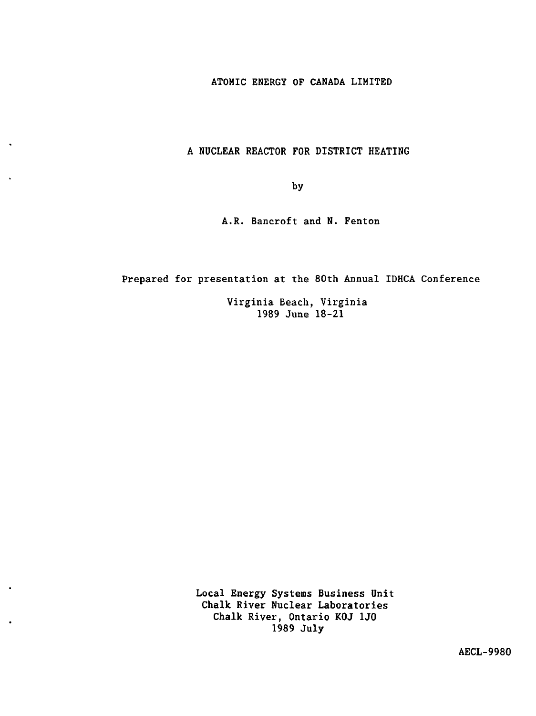ATOMIC ENERGY OF CANADA LIMITED

A NUCLEAR REACTOR FOR DISTRICT HEATING

by

A.R. Bancroft and N. Fenton

Prepared for presentation at the 80th Annual IDHCA Conference

Virginia Beach, Virginia 1989 June 18-21

Local Energy Systems Business Unit Chalk River Nuclear Laboratories Chalk River, Ontario KOJ 1J0 1989 July

AECL-9980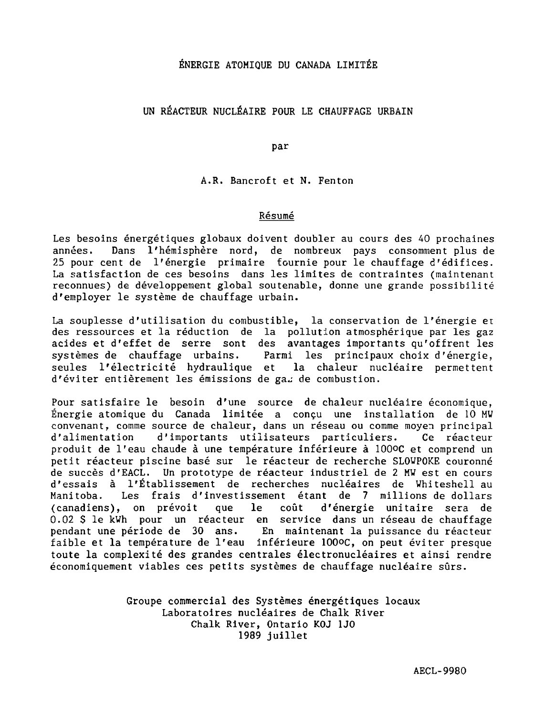# ÉNERGIE ATOMIQUE DU CANADA LIMITÉE

# UN RÉACTEUR NUCLÉAIRE POUR LE CHAUFFAGE URBAIN

par

A.R. Bancroft et N. Fenton

#### Résumé

Les besoins énergétiques globaux doivent doubler au cours des 40 prochaines années. Dans l'hémisphère nord, de nombreux pays consomment plus de 25 pour cent de l'énergie primaire fournie pour le chauffage d'édifices. La satisfaction de ces besoins dans les limites de contraintes (maintenant reconnues) de développement global soutenable, donne une grande possibilité d'employer le système de chauffage urbain.

La souplesse d'utilisation du combustible, la conservation de l'énergie et des ressources et la réduction de la pollution atmosphérique par les gaz acides et d'effet de serre sont des avantages importants qu'offrent les systèmes de chauffage urbains. Parmi les principaux choix d'énergie, seules l'électricité hydraulique et la chaleur nucléaire permettent d'éviter entièrement les émissions de gaz de combustion.

Pour satisfaire le besoin d'une source de chaleur nucléaire économique, Énergie atomique du Canada limitée a conçu une installation de 10 MU convenant, comme source de chaleur, dans un réseau ou comme moyen principal d'alimentation d'importants utilisateurs particuliers. Ce réacteur produit de l'eau chaude à une température inférieure à ÎOOOC et comprend un petit réacteur piscine basé sur le réacteur de recherche SLOWPOKE couronné de succès d'EACL. Un prototype de réacteur industriel de 2 MW est en cours d'essais à l'Établissement de recherches nucléaires de Whiteshell au Manitoba. Les frais d'investissement étant de 7 millions de dollars (canadiens), on prévoit que le coût d'énergie unitaire sera de 0.02 \$ le kWh pour un réacteur en service dans un réseau de chauffage pendant une période de 30 ans. En maintenant la puissance du réacteur faible et la température de l'eau inférieure lOOoc, on peut éviter presque toute la complexité des grandes centrales électronucléaires et ainsi rendre économiquement viables ces petits systèmes de chauffage nucléaire sûrs.

> Groupe commercial des Systèmes énergétiques locaux Laboratoires nucléaires de Chalk River Chalk River, Ontario KOJ 1J0 1989 juillet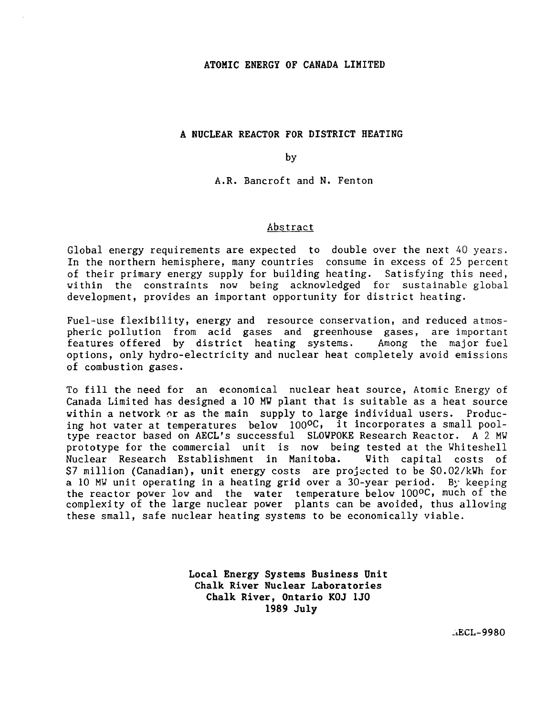# **ATOMIC ENERGY OF CANADA LIMITED**

#### **A NUCLEAR REACTOR FOR DISTRICT HEATING**

by

A.R. Bancroft and N. Fenton

#### Abstract

Global energy requirements are expected to double over the next 40 years. In the northern hemisphere, many countries consume in excess of 25 percent of their primary energy supply for building heating. Satisfying this need, within the constraints now being acknowledged for sustainable global development, provides an important opportunity for district heating.

Fuel-use flexibility, energy and resource conservation, and reduced atmospheric pollution from acid gases and greenhouse gases, are important<br>features offered by district heating systems. Among the major fuel features offered by district heating systems. options, only hydro-electricity and nuclear heat completely avoid emissions of combustion gases.

To fill the need for an economical nuclear heat source, Atomic Energy of Canada Limited has designed a 10 MW plant that is suitable as a heat source within a network or as the main supply to large individual users. Producing hot water at temperatures below 100°C, it incorporates a small pooltype reactor based on AECL's successful SLOWPOKE Research Reactor. A 2 MW prototype for the commercial unit is now being tested at the Whiteshell Nuclear Research Establishment in Manitoba. With capital costs of \$7 million (Canadian), unit energy costs are projected to be \$0.02/kWh for a 10 MW unit operating in a heating grid over a 30-year period. By keeping the reactor power low and the water temperature below 100°C, much of the complexity of the large nuclear power plants can be avoided, thus allowing these small, safe nuclear heating systems to be economically viable.

> **Local Energy Systems Business Unit Chalk River Nuclear Laboratories Chalk River, Ontario KOJ 1J0 1989 July**

> > -iECL-9980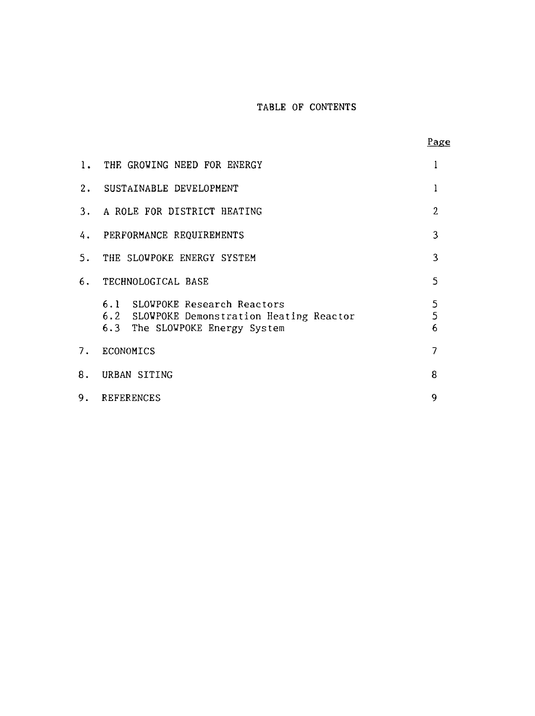# TABLE OF CONTENTS

|--|

| 1. | THE GROWING NEED FOR ENERGY                                                                                    |                |
|----|----------------------------------------------------------------------------------------------------------------|----------------|
|    | 2. SUSTAINABLE DEVELOPMENT                                                                                     | 1              |
| 3. | A ROLE FOR DISTRICT HEATING                                                                                    | $\overline{2}$ |
| 4. | PERFORMANCE REOUIREMENTS                                                                                       | 3              |
| 5. | THE SLOWPOKE ENERGY SYSTEM                                                                                     | 3              |
| 6. | TECHNOLOGICAL BASE                                                                                             | 5              |
|    | 6.1 SLOWPOKE Research Reactors<br>6.2 SLOWPOKE Demonstration Heating Reactor<br>6.3 The SLOWPOKE Energy System | 5<br>5<br>6    |
| 7. | ECONOMICS                                                                                                      | 7              |
| 8. | URBAN SITING                                                                                                   | 8              |
| 9. | <b>REFERENCES</b>                                                                                              | 9              |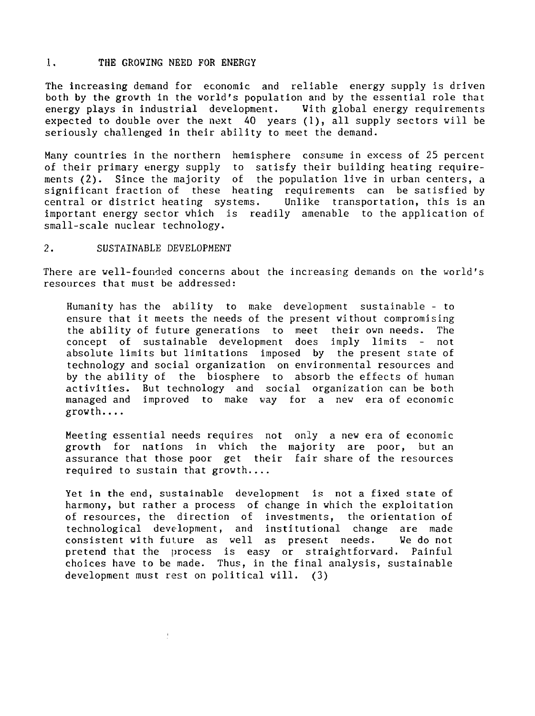#### 1. THE GROWING NEED FOR ENERGY

The increasing demand for economic and reliable energy supply is driven both by the growth in the world's population and by the essential role that energy plays in industrial development. With global energy requirements expected to double over the next 40 years (1), all supply sectors will be seriously challenged in their ability to meet the demand.

Many countries in the northern hemisphere consume in excess of 25 percent satisfy their building heating requirements (2). Since the majority of the population live in urban centers, a significant fraction of these heating requirements can be satisfied by central or district heating systems. Unlike transportation, this is an important energy sector which is readily amenable to the application of small-scale nuclear technology.

#### 2. SUSTAINABLE DEVELOPMENT

There are well-founded concerns about the increasing demands on the world's resources that must be addressed:

Humanity has the ability to make development sustainable - to ensure that it meets the needs of the present without compromising the ability of future generations to meet their own needs. The concept of sustainable development does imply limits - not absolute limits but limitations imposed by the present state of technology and social organization on environmental resources and by the ability of the biosphere to absorb the effects of human activities. But technology and social organization can be both managed and improved to make way for a new era of economic growth

Meeting essential needs requires not only a new era of economic growth for nations in which the majority are poor, but an assurance that those poor get their fair share of the resources required to sustain that growth....

Yet in the end, sustainable development is not a fixed state of harmony, but rather a process of change in which the exploitation of resources, the direction of investments, the orientation of technological development, and institutional change are made consistent with future as well as present needs. We do not pretend that the process is easy or straightforward. Painful choices have to be made. Thus, in the final analysis, sustainable development must rest on political will. (3)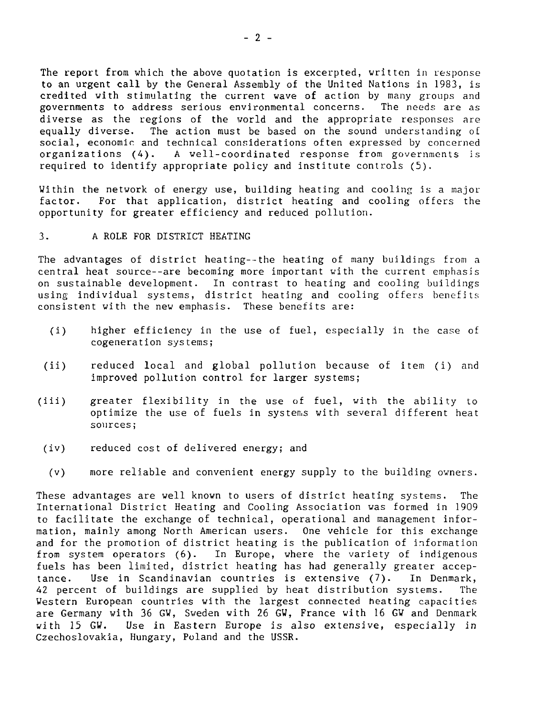The report from which the above quotation is excerpted, written in response to an urgent call by the General Assembly of the United Nations in 1983, is credited with stimulating the current wave of action by many groups and<br>governments to address serious environmental concerns. The needs are as governments to address serious environmental concerns. diverse as the regions of the world and the appropriate responses are equally diverse. The action must be based on the sound understanding of social, economic and technical considerations often expressed by concerned organizations (A). A well-coordinated response from governments is required to identify appropriate policy and institute controls (5).

Within the network of energy use, building heating and cooling is a major factor. For that application, district heating and cooling offers the opportunity for greater efficiency and reduced pollution.

## 3. A ROLE FOR DISTRICT HEATING

The advantages of district heating--the heating of many buildings from a central heat source--are becoming more important with the current emphasis on sustainable development. In contrast to heating and cooling buildings using individual systems, district heating and cooling offers benefits consistent with the new emphasis. These benefits are:

- (i) higher efficiency in the use of fuel, especially in the case of cogeneration systems;
- (ii) reduced local and global pollution because of item (i) and improved pollution control for larger systems;
- (iii) greater flexibility in the use of fuel, with the ability to optimize the use of fuels in systems with several different heat sources;
- (iv) reduced cost of delivered energy; and
- (v) more reliable and convenient energy supply to the building owners.

These advantages are well known to users of district heating systems. The International District Heating and Cooling Association was formed in 1909 to facilitate the exchange of technical, operational and management information, mainly among North American users. One vehicle for this exchange and for the promotion of district heating is the publication of information from system operators (6). In Europe, where the variety of indigenous fuels has been limited, district heating has had generally greater acceptance. Use in Scandinavian countries is extensive (7). In Denmark, 42 percent of buildings are supplied by heat distribution systems. The Western European countries with the largest connected heating capacities are Germany with 36 GW, Sweden with 26 GW, France with 16 GW and Denmark with 15 GW. Use in Eastern Europe is also extensive, especially in Czechoslovakia, Hungary, Poland and the USSR.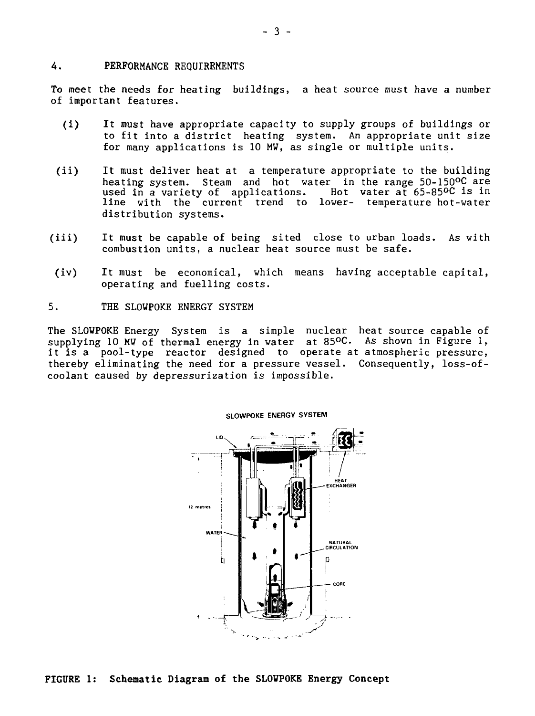#### 4. PERFORMANCE REQUIREMENTS

To meet the needs for heating buildings, a heat source must have a number of important features.

- (i) It must have appropriate capacity to supply groups of buildings or to fit into a district heating system. An appropriate unit size for many applications is 10 MW, as single or multiple units.
- (ii) It must deliver heat at a temperature appropriate to the building heating system. Steam and hot water in the range 50-150°C are<br>used in a variety of applications. Hot water at 65-85°C is in used in a variety of applications. line with the current trend to lower- temperature hot-water distribution systems.
- (iii) It must be capable of being sited close to urban loads, As with combustion units, a nuclear heat source must be safe.
- $(iv)$ It must be economical, which means having acceptable capital, operating and fuelling costs.
- 5. THE SLOWPOKE ENERGY SYSTEM

The SLOWPOKE Energy System is a simple nuclear heat source capable of supplying 10 MW of thermal energy in water at 85°C. As shown in Figure 1, it is a pool-type reactor designed to operate at atmospheric pressure, thereby eliminating the need for a pressure vessel. Consequently, loss-ofcoolant caused by depressurization is impossible.



#### **SLOWPOKE ENERGY SYSTEM**

**FIGURE 1: Schematic Diagram of the SLOWPOKE Energy Concept**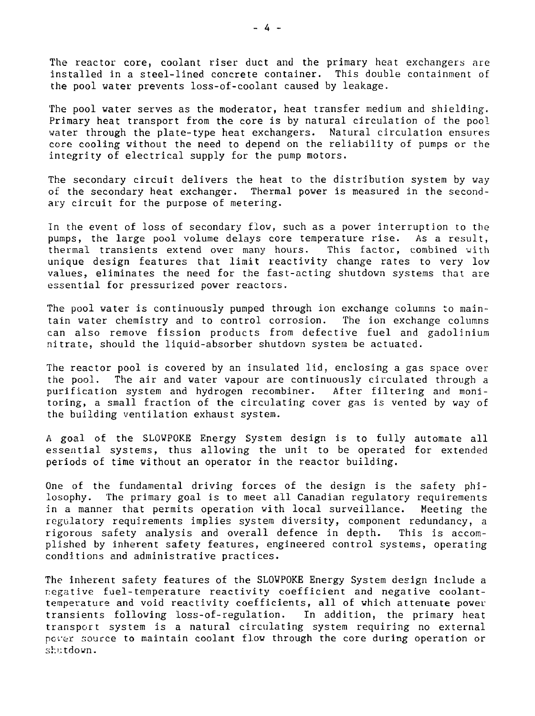The reactor core, coolant riser duct and the primary heat exchangers are installed in a steel-lined concrete container. This double containment of the pool water prevents loss-of-coolant caused by leakage.

The pool water serves as the moderator, heat transfer medium and shielding. Primary heat transport from the core is by natural circulation of the pool water through the plate-type heat exchangers. Natural circulation ensures core cooling without the need to depend on the reliability of pumps or the integrity of electrical supply for the pump motors.

The secondary circuit delivers the heat to the distribution system by way of the secondary heat exchanger. Thermal power is measured in the secondary circuit for the purpose of metering.

In the event of loss of secondary flow, such as a power interruption to the pumps, the large pool volume delays core temperature rise. As a result, thermal transients extend over many hours. This factor, combined with unique design features that limit reactivity change rates to very low values, eliminates the need for the fast-acting shutdown systems that are essential for pressurized power reactors.

The pool water is continuously pumped through ion exchange columns to maintain water chemistry and to control corrosion. The ion exchange columns can also remove fission products from defective fuel and gadolinium nitrate, should the liquid-absorber shutdown system be actuated.

The reactor pool is covered by an insulated lid, enclosing a gas space over the pool. The air and water vapour are continuously circulated through a purification system and hydrogen recombiner. After filtering and monitoring, a small fraction of the circulating cover gas is vented by way of the building ventilation exhaust system.

A goal of the SLOWPOKE Energy System design is to fully automate all essential systems, thus allowing the unit to be operated for extended periods of time without an operator in the reactor building.

One of the fundamental driving forces of the design is the safety philosophy. The primary goal is to meet all Canadian regulatory requirements in a manner that permits operation with local surveillance. Meeting the regulatory requirements implies system diversity, component redundancy, a rigorous safety analysis and overall defence in depth. This is accomplished by inherent safety features, engineered control systems, operating conditions and administrative practices.

The inherent safety features of the SLOWPOKE Energy System design include a negative fuel-temperature reactivity coefficient and negative coolanttemperature and void reactivity coefficients, all of which attenuate power transients following loss-of-regulation. In addition, the primary heat transport system is a natural circulating system requiring no external poter source to maintain coolant flow through the core during operation or shutdown.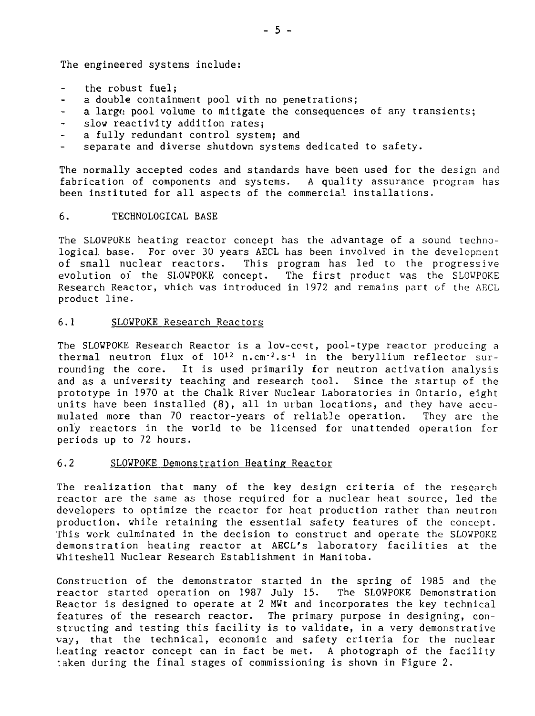The engineered systems include:

- the robust fuel;
- a double containment pool with no penetrations;
- a large pool volume to mitigate the consequences of any transients;
- slow reactivity addition rates;
- a fully redundant control system; and
- separate and diverse shutdown systems dedicated to safety.

The normally accepted codes and standards have been used for the design and fabrication of components and systems. A quality assurance program has been instituted for all aspects of the commercial, installations.

6. TECHNOLOGICAL BASE

The SLOWPOKE heating reactor concept has the advantage of a sound technological base. For over 30 years AECL has been involved in the development<br>of small nuclear reactors. This program has led to the progressive This program has led to the progressive evolution of the SLOWPOKE concept. The first product was the SLOWPOKE Research Reactor, which was introduced in 1972 and remains part of the AECL product line.

6.1 SLOWPOKE Research Reactors

The SLOWPOKE Research Reactor is a low-ccst, pool-type reactor producing a thermal neutron flux of  $10^{12}$  n.cm<sup>-2</sup>.s<sup>-1</sup> in the beryllium reflector surrounding the core. It is used primarily for neutron activation analysis and as a university teaching and research tool. Since the startup of the prototype in 1970 at the Chalk River Nuclear Laboratories in Ontario, eight units have been installed (8), all in urban locations, and they have accumulated more than 70 reactor-years of reliable operation. They are the only reactors in the world to be licensed for unattended operation for periods up to 72 hours.

# 6.2 SLOWPOKE Demonstration Heating Reactor

The realization that many of the key design criteria of the research reactor are the same as those required for a nuclear heat source, led the developers to optimize the reactor for heat production rather than neutron production, while retaining the essential safety features of the concept. This work culminated in the decision to construct and operate the SLOWPOKE demonstration heating reactor at AECL's laboratory facilities at the Whiteshell Nuclear Research Establishment in Manitoba.

Construction of the demonstrator started in the spring of 1985 and the reactor started operation on 1987 July 15. The SLOWPOKE Demonstration Reactor is designed to operate at 2 MWt and incorporates the key technical features of the research reactor. The primary purpose in designing, constructing and testing this facility is to validate, in a very demonstrative vay, that the technical, economic and safety criteria for the nuclear heating reactor concept can in fact be met. A photograph of the facility taken during the final stages of commissioning is shown in Figure 2.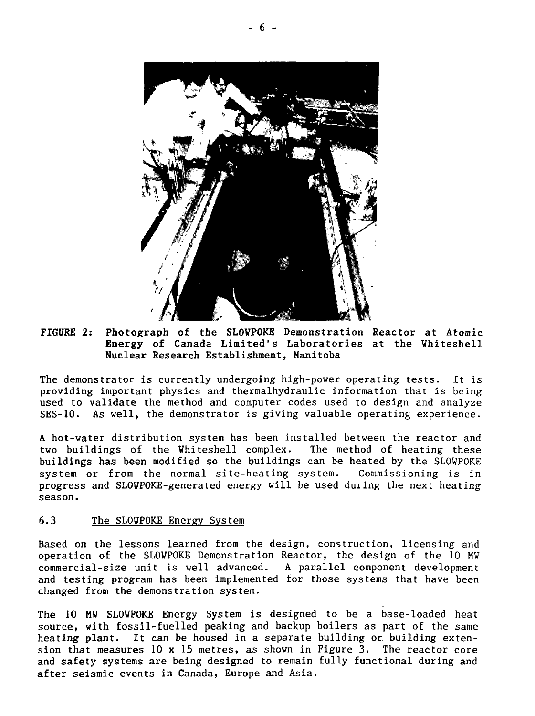

# **FIGDRE 2: Photograph of the SLOVPOKE** Demonstration Reactor at Atomic **Energy of** Canada Limited's Laboratories at the Vhiteshell **Nuclear Research** Establishment, Manitoba

The demonstrator is currently undergoing high-power operating tests. It is providing important physics and thermalhydraulic information that is being used to validate the method and computer codes used to design and analyze SES-10. As well, the demonstrator is giving valuable operating experience.

A hot-water distribution system has been installed between the reactor and two buildings of the Whiteshell complex. The method of heating these buildings has been modified so the buildings can be heated by the SLOWPOKE system or from the normal site-heating system. Commissioning is in progress and SLOWPOKE-generated energy will be used during the next heating season.

# 6.3 The SLOWPOKE Energy System

Based on the lessons learned from the design, construction, licensing and operation of the SLOWPOKE Demonstration Reactor, the design of the 10 MW commercial-size unit is well advanced. A parallel component development and testing program has been implemented for those systems that have been changed from the demonstration system.

The 10 MW SLOWPOKE Energy System is designed to be a base-loaded heat source, with fossil-fuelled peaking and backup boilers as part of the same heating plant. It can be housed in a separate building or. building extension that measures 10 x 15 metres, as shown in Figure 3. The reactor core and safety systems are being designed to remain fully functional during and after seismic events in Canada, Europe and Asia.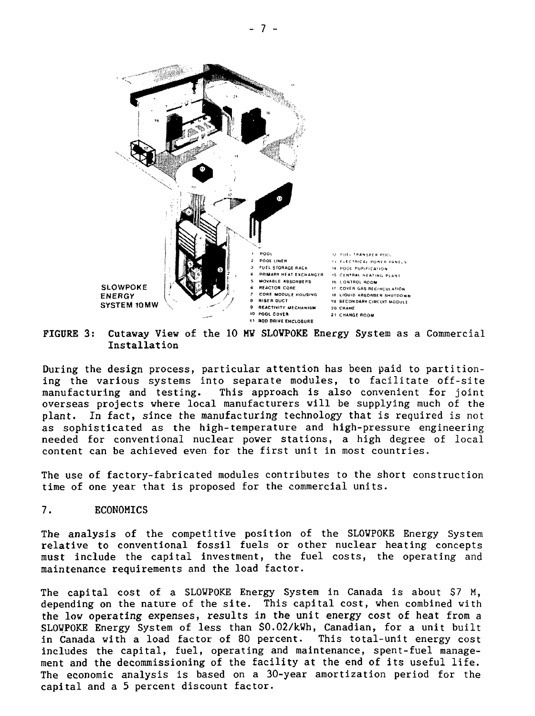

FIGURE 3: Cutaway View of the 10 MV SLOVPOKE Energy System as a Commercial Installation

During the design process, particular attention has been paid to partitioning the various systems into separate modules, to facilitate off-site manufacturing and testing. This approach is also convenient for joint overseas projects where local manufacturers will be supplying much of the plant. In fact, since the manufacturing technology that is required is not as sophisticated as the high-temperature and high-pressure engineering needed for conventional nuclear power stations, a high degree of local content can be achieved even for the first unit in most countries.

The use of factory-fabricated modules contributes to the short construction time of one year that is proposed for the commercial units.

# 7. ECONOMICS

The analysis of the competitive position of the SLOWPOKE Energy System relative to conventional fossil fuels or other nuclear heating concepts must include the capital investment, the fuel costs, the operating and maintenance requirements and the load factor.

The capital cost of a SLOWPOKE Energy System in Canada is about \$7 M, depending on the nature of the site. This capital cost, when combined with the lov operating expenses, results in the unit energy cost of heat from a SLOWPOKE Energy System of less than \$0.02/kWh, Canadian, for a unit built in Canada with a load factor of 80 percent. This total-unit energy cost includes the capital, fuel, operating and maintenance, spent-fuel management and the decommissioning of the facility at the end of its useful life. The economic analysis is based on a 30-year amortization period for the capital and a 5 percent discount factor.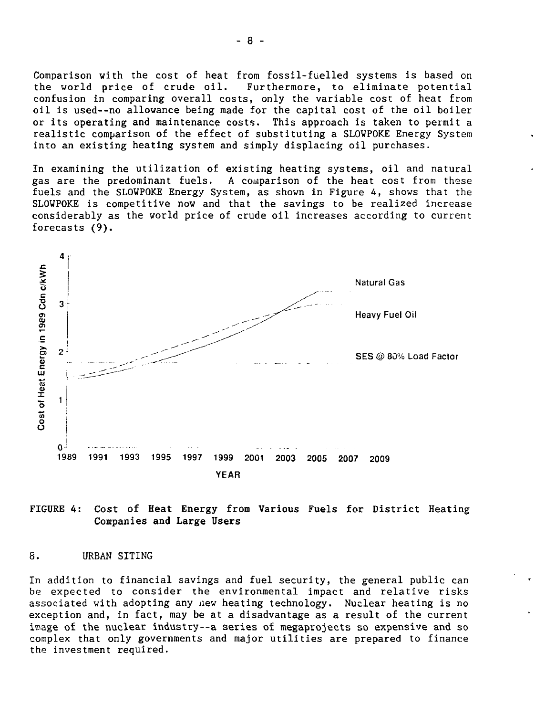Comparison with the cost of heat from fossil-fuelled systems is based on<br>the world price of crude oil. Furthermore, to eliminate potential Furthermore, to eliminate potential confusion in comparing overall costs, only the variable cost of heat from oil is used--no allowance being made for the capital cost of the oil boiler or its operating and maintenance costs. This approach is taken to permit a realistic comparison of the effect of substituting a SLOWPOKE Energy System into an existing heating system and simply displacing oil purchases.

In examining the utilization of existing heating systems, oil and natural gas are the predominant fuels. A comparison of the heat cost from these fuels and the SLOWPOKE Energy System, as shown in Figure 4, shows that the SLOWPOKE is competitive now and that the savings to be realized increase considerably as the world price of crude oil increases according to current forecasts (9).



FIGURE 4: Cost of Heat Energy from Various Fuels for District Heating Companies and Large Users

#### 8. URBAN SITING

In addition to financial savings and fuel security, the general public can be expected to consider the environmental impact and relative risks associated with adopting any new heating technology. Nuclear heating is no exception and, in fact, may be at a disadvantage as a result of the current image of the nuclear industry—a series of megaprojects so expensive and so complex that only governments and major utilities are prepared to finance the investment required.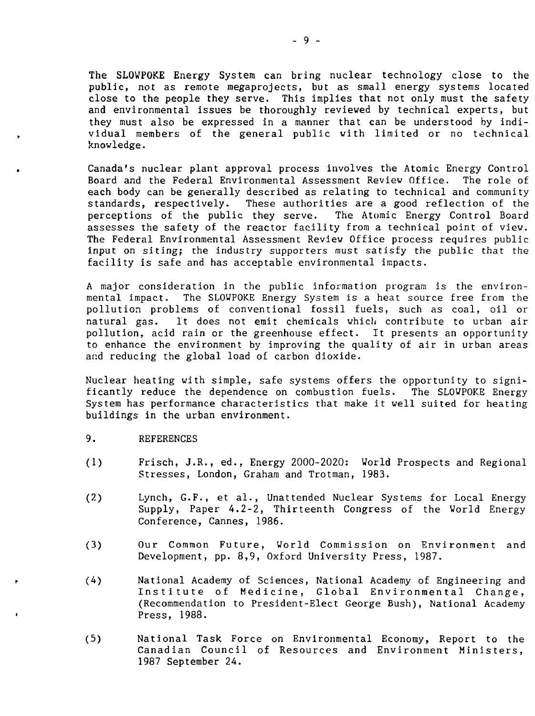The SLOWPOKE Energy System can bring nuclear technology close to the public, not as remote megaprojects, but as small energy systems located close to the people they serve. This implies that not only must the safety and environmental issues be thoroughly reviewed by technical experts, but they must also be expressed in a manner that can be understood by individual members of the general public with limited or no technical knowledge.

Canada's nuclear plant approval process involves the Atomic Energy Control Board and the Federal Environmental Assessment Review Office. The role of each body can be generally described as relating to technical and community standards, respectively. These authorities are a good reflection of the perceptions of the public they serve. The Atomic Energy Control Board perceptions of the public they serve. assesses the safety of the reactor facility from a technical point of view. The Federal Environmental Assessment Review Office process requires public input on siting; the industry supporters must satisfy the public that the facility is safe and has acceptable environmental impacts.

A major consideration in the public information program is the environmental impact. The SLOWPOKE Energy System is a heat source free from the pollution problems of conventional fossil fuels, such as coal, oil or natural gas. It does not emit chemicals which contribute to urban air pollution, acid rain or the greenhouse effect. It presents an opportunity to enhance the environment by improving the quality of air in urban areas and reducing the global load of carbon dioxide.

Nuclear heating with simple, safe systems offers the opportunity to significantly reduce the dependence on combustion fuels. The SLOWPOKE Energy System has performance characteristics that make it well suited for heating buildings in the urban environment.

- 9. REFERENCES
- (1) Frisch, J.R., ed., Energy 2000-2020: World Prospects and Regional Stresses, London, Graham and Trotman, 1983.
- (2) Lynch, G.F., et al., Unattended Nuclear Systems for Local Energy Supply, Paper 4.2-2, Thirteenth Congress of the World Energy Conference, Cannes, 1986.
- (3) Our Common Future, World Commission on Environment and Development, pp. 8,9, Oxford University Press, 1987.
- (4) National Academy of Sciences, National Academy of Engineering and Institute of Medicine, Global Environmental Change, (Recommendation to President-Elect George Bush), National Academy Press, 1988.
- (5) National Task Force on Environmental Economy, Report to the Canadian Council of Resources and Environment Ministers, 1987 September 24.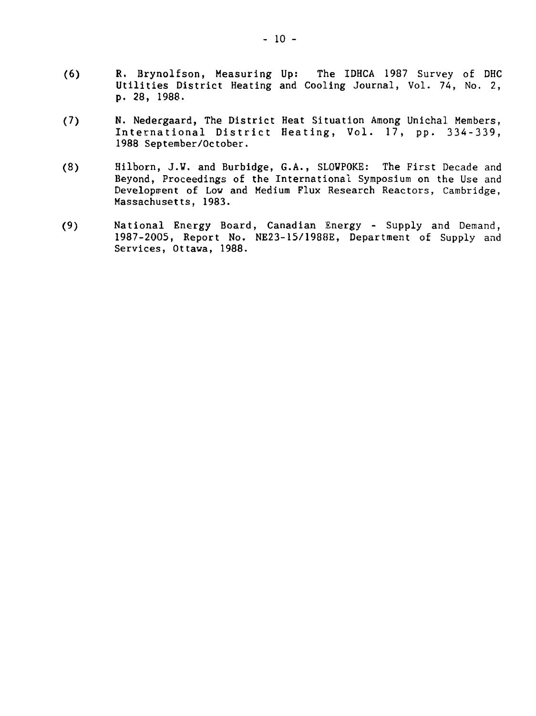- (6) R. Brynolfson, Measuring Up: The IDHCA 1987 Survey of DHC Utilities District Heating and Cooling Journal, Vol. 74, No. 2, p. 28, 1988.
- (7) N. Nedergaard, The District Heat Situation Among Unichal Members, International District Heating, Vol. 17, pp. 334-339, 1988 September/October.
- (8) Hilborn, J.W. and Burbidge, G.A., SLOWPOKE: The First Decade and Beyond, Proceedings of the International Symposium on the Use and Development of Low and Medium Flux Research Reactors, Cambridge, Massachusetts, 1983.
- (9) National Energy Board, Canadian Energy Supply and Demand, 1987-2005, Report No. NE23-15/1988E, Department of Supply and Services, Ottawa, 1988.